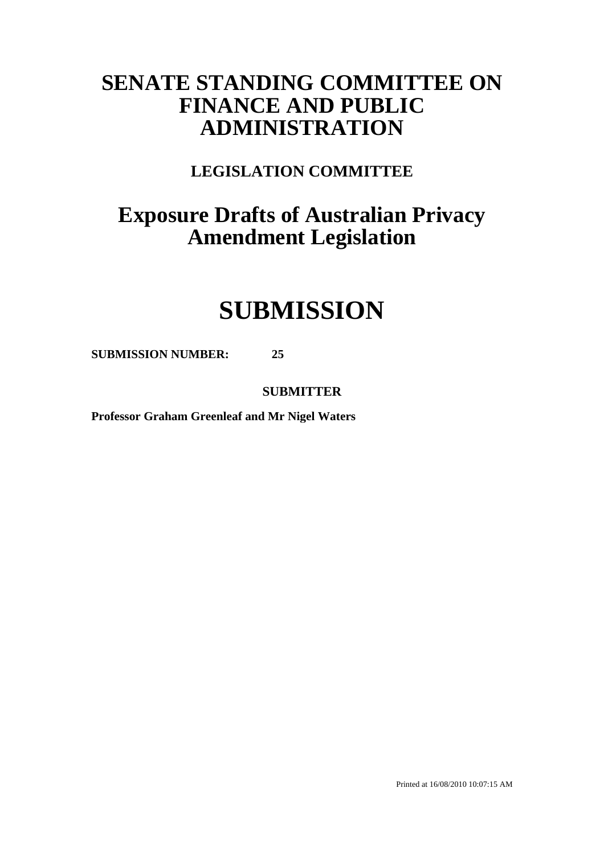# **SENATE STANDING COMMITTEE ON FINANCE AND PUBLIC ADMINISTRATION**

**LEGISLATION COMMITTEE**

# **Exposure Drafts of Australian Privacy Amendment Legislation**

# **SUBMISSION**

**SUBMISSION NUMBER: 25**

**SUBMITTER**

**Professor Graham Greenleaf and Mr Nigel Waters**

Printed at 16/08/2010 10:07:15 AM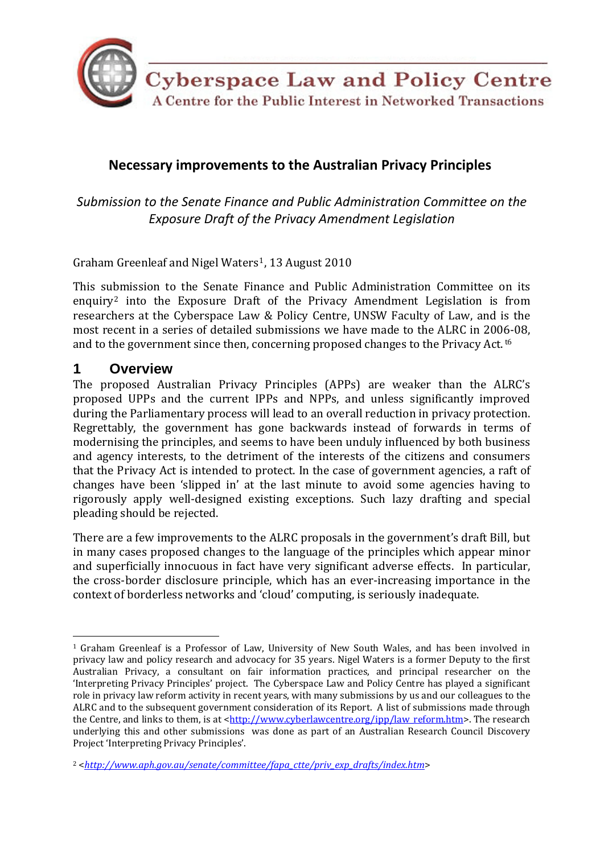

# **Necessary improvements to the Australian Privacy Principles**

*Submission to the Senate Finance and Public Administration Committee on the Exposure Draft of the Privacy Amendment Legislation*

Graham Greenleaf and Nigel Waters[1](#page-2-0), 13 August 2010

This submission to the Senate Finance and Public Administration Committee on its enquiry<sup>[2](#page-2-0)</sup> into the Exposure Draft of the Privacy Amendment Legislation is from researchers at the Cyberspace Law & Policy Centre, UNSW Faculty of Law, and is the most recent in a series of detailed submissions we have made to the ALRC in 2006‐08, and to the government since then, concerning proposed changes to the Privacy Act. t6

# **1 Overview**

The proposed Australian Privacy Principles (APPs) are weaker than the ALRC's proposed UPPs and the current IPPs and NPPs, and unless significantly improved during the Parliamentary process will lead to an overall reduction in privacy protection. Regrettably, the government has gone backwards instead of forwards in terms of modernising the principles, and seems to have been unduly influenced by both business and agency interests, to the detriment of the interests of the citizens and consumers that the Privacy Act is intended to protect. In the case of government agencies, a raft of changes have been 'slipped in' at the last minute to avoid some agencies having to rigorously apply well‐designed existing exceptions. Such lazy drafting and special pleading should be rejected.

There are a few improvements to the ALRC proposals in the government's draft Bill, but in many cases proposed changes to the language of the principles which appear minor and superficially innocuous in fact have very significant adverse effects. In particular, the cross‐border disclosure principle, which has an ever‐increasing importance in the context of borderless networks and 'cloud' computing, is seriously inadequate.

<sup>&</sup>lt;sup>1</sup> Graham Greenleaf is a Professor of Law, University of New South Wales, and has been involved in privacy law and policy research and advocacy for 35 years. Nigel Waters is a former Deputy to the first Australian Privacy, a consultant on fair information practices, and principal researcher on the 'Interpreting Privacy Principles' project. The Cyberspace Law and Policy Centre has played a significant role in privacy law reform activity in recent years, with many submissions by us and our colleagues to the ALRC and to the subsequent government consideration of its Report. A list of submissions made through the Centre, and links to them, is at <[http://www.cyberlawcentre.org/ipp/law\\_reform.htm](http://www.cyberlawcentre.org/ipp/law_reform.htm)>. The research underlying this and other submissions was done as part of an Australian Research Council Discovery Project 'Interpreting Privacy Principles'.

<span id="page-2-0"></span><sup>2 &</sup>lt;*[http://www.aph.gov.au/senate/committee/fapa\\_ctte/priv\\_exp\\_drafts/index.htm](http://www.aph.gov.au/senate/committee/fapa_ctte/priv_exp_drafts/index.htm)*>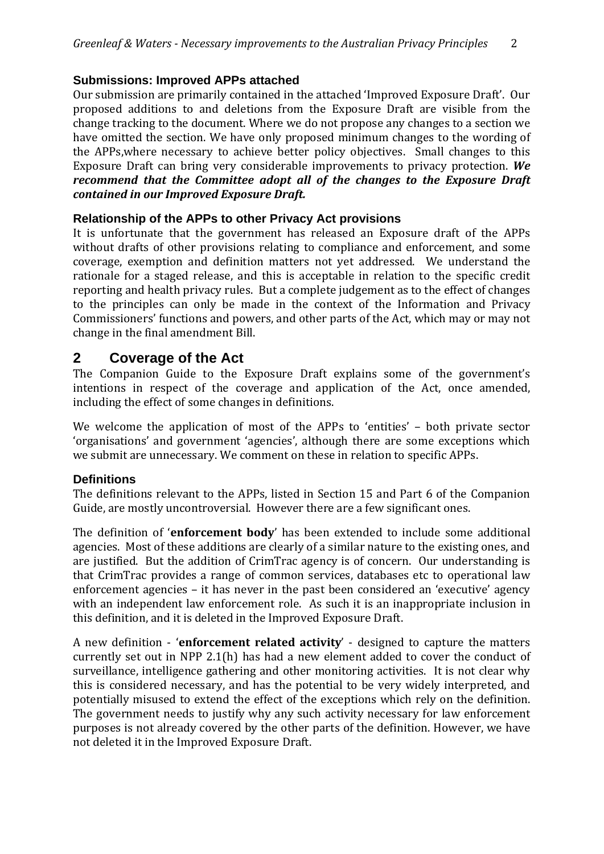# **Submissions: Improved APPs attached**

Our submission are primarily contained in the attached 'Improved Exposure Draft'. Our proposed additions to and deletions from the Exposure Draft are visible from the change tracking to the document. Where we do not propose any changes to a section we have omitted the section. We have only proposed minimum changes to the wording of the APPs,where necessary to achieve better policy objectives. Small changes to this Exposure Draft can bring very considerable improvements to privacy protection. *We recommend that the Committee adopt all of the changes to the Exposure Draft contained in our Improved Exposure Draft.*

# **Relationship of the APPs to other Privacy Act provisions**

It is unfortunate that the government has released an Exposure draft of the APPs without drafts of other provisions relating to compliance and enforcement, and some coverage, exemption and definition matters not yet addressed. We understand the rationale for a staged release, and this is acceptable in relation to the specific credit reporting and health privacy rules. But a complete judgement as to the effect of changes to the principles can only be made in the context of the Information and Privacy Commissioners' functions and powers, and other parts of the Act, which may or may not change in the final amendment Bill.

# **2 Coverage of the Act**

The Companion Guide to the Exposure Draft explains some of the government's intentions in respect of the coverage and application of the Act, once amended, including the effect of some changes in definitions.

We welcome the application of most of the APPs to 'entities' – both private sector 'organisations' and government 'agencies', although there are some exceptions which we submit are unnecessary. We comment on these in relation to specific APPs.

# **Definitions**

The definitions relevant to the APPs, listed in Section 15 and Part 6 of the Companion Guide, are mostly uncontroversial. However there are a few significant ones.

The definition of '**enforcement body**' has been extended to include some additional agencies. Most of these additions are clearly of a similar nature to the existing ones, and are justified. But the addition of CrimTrac agency is of concern. Our understanding is that CrimTrac provides a range of common services, databases etc to operational law enforcement agencies – it has never in the past been considered an 'executive' agency with an independent law enforcement role. As such it is an inappropriate inclusion in this definition, and it is deleted in the Improved Exposure Draft.

A new definition ‐ '**enforcement related activity**' ‐ designed to capture the matters currently set out in NPP 2.1(h) has had a new element added to cover the conduct of surveillance, intelligence gathering and other monitoring activities. It is not clear why this is considered necessary, and has the potential to be very widely interpreted, and potentially misused to extend the effect of the exceptions which rely on the definition. The government needs to justify why any such activity necessary for law enforcement purposes is not already covered by the other parts of the definition. However, we have not deleted it in the Improved Exposure Draft.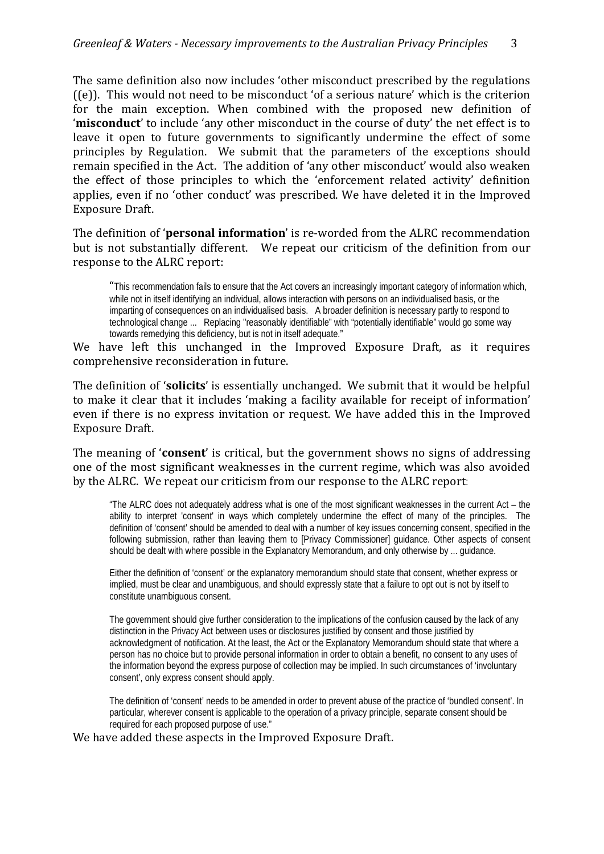The same definition also now includes 'other misconduct prescribed by the regulations ((e)). This would not need to be misconduct 'of a serious nature' which is the criterion for the main exception. When combined with the proposed new definition of '**misconduct**' to include 'any other misconduct in the course of duty' the net effect is to leave it open to future governments to significantly undermine the effect of some principles by Regulation. We submit that the parameters of the exceptions should remain specified in the Act. The addition of 'any other misconduct' would also weaken the effect of those principles to which the 'enforcement related activity' definition applies, even if no 'other conduct' was prescribed. We have deleted it in the Improved Exposure Draft.

The definition of '**personal information**' is re‐worded from the ALRC recommendation but is not substantially different. We repeat our criticism of the definition from our response to the ALRC report:

"This recommendation fails to ensure that the Act covers an increasingly important category of information which, while not in itself identifying an individual, allows interaction with persons on an individualised basis, or the imparting of consequences on an individualised basis. A broader definition is necessary partly to respond to technological change ... Replacing ''reasonably identifiable" with "potentially identifiable" would go some way towards remedying this deficiency, but is not in itself adequate."

We have left this unchanged in the Improved Exposure Draft, as it requires comprehensive reconsideration in future.

The definition of '**solicits**' is essentially unchanged. We submit that it would be helpful to make it clear that it includes 'making a facility available for receipt of information' even if there is no express invitation or request. We have added this in the Improved Exposure Draft.

The meaning of '**consent**' is critical, but the government shows no signs of addressing one of the most significant weaknesses in the current regime, which was also avoided by the ALRC. We repeat our criticism from our response to the ALRC report:

"The ALRC does not adequately address what is one of the most significant weaknesses in the current Act – the ability to interpret 'consent' in ways which completely undermine the effect of many of the principles. The definition of 'consent' should be amended to deal with a number of key issues concerning consent, specified in the following submission, rather than leaving them to [Privacy Commissioner] guidance. Other aspects of consent should be dealt with where possible in the Explanatory Memorandum, and only otherwise by ... guidance.

Either the definition of 'consent' or the explanatory memorandum should state that consent, whether express or implied, must be clear and unambiguous, and should expressly state that a failure to opt out is not by itself to constitute unambiguous consent.

The government should give further consideration to the implications of the confusion caused by the lack of any distinction in the Privacy Act between uses or disclosures justified by consent and those justified by acknowledgment of notification. At the least, the Act or the Explanatory Memorandum should state that where a person has no choice but to provide personal information in order to obtain a benefit, no consent to any uses of the information beyond the express purpose of collection may be implied. In such circumstances of 'involuntary consent', only express consent should apply.

The definition of 'consent' needs to be amended in order to prevent abuse of the practice of 'bundled consent'. In particular, wherever consent is applicable to the operation of a privacy principle, separate consent should be required for each proposed purpose of use."

We have added these aspects in the Improved Exposure Draft.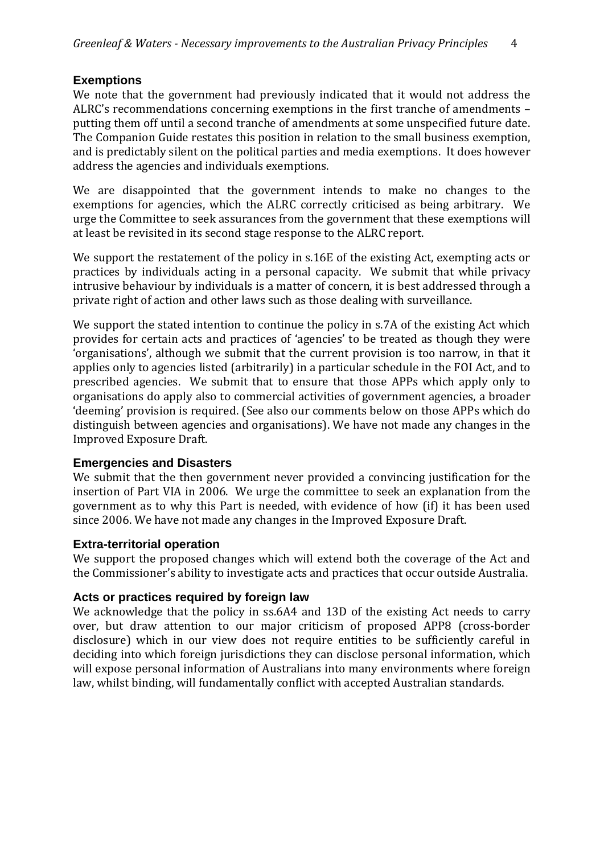#### **Exemptions**

We note that the government had previously indicated that it would not address the ALRC's recommendations concerning exemptions in the first tranche of amendments – putting them off until a second tranche of amendments at some unspecified future date. The Companion Guide restates this position in relation to the small business exemption, and is predictably silent on the political parties and media exemptions. It does however address the agencies and individuals exemptions.

We are disappointed that the government intends to make no changes to the exemptions for agencies, which the ALRC correctly criticised as being arbitrary. We urge the Committee to seek assurances from the government that these exemptions will at least be revisited in its second stage response to the ALRC report.

We support the restatement of the policy in s.16E of the existing Act, exempting acts or practices by individuals acting in a personal capacity. We submit that while privacy intrusive behaviour by individuals is a matter of concern, it is best addressed through a private right of action and other laws such as those dealing with surveillance.

We support the stated intention to continue the policy in s.7A of the existing Act which provides for certain acts and practices of 'agencies' to be treated as though they were 'organisations', although we submit that the current provision is too narrow, in that it applies only to agencies listed (arbitrarily) in a particular schedule in the FOI Act, and to prescribed agencies. We submit that to ensure that those APPs which apply only to organisations do apply also to commercial activities of government agencies, a broader 'deeming' provision is required. (See also our comments below on those APPs which do distinguish between agencies and organisations). We have not made any changes in the Improved Exposure Draft.

#### **Emergencies and Disasters**

We submit that the then government never provided a convincing justification for the insertion of Part VIA in 2006. We urge the committee to seek an explanation from the government as to why this Part is needed, with evidence of how (if) it has been used since 2006. We have not made any changes in the Improved Exposure Draft.

#### **Extra-territorial operation**

We support the proposed changes which will extend both the coverage of the Act and the Commissioner's ability to investigate acts and practices that occur outside Australia.

#### **Acts or practices required by foreign law**

We acknowledge that the policy in ss.6A4 and 13D of the existing Act needs to carry over, but draw attention to our major criticism of proposed APP8 (cross-border disclosure) which in our view does not require entities to be sufficiently careful in deciding into which foreign jurisdictions they can disclose personal information, which will expose personal information of Australians into many environments where foreign law, whilst binding, will fundamentally conflict with accepted Australian standards.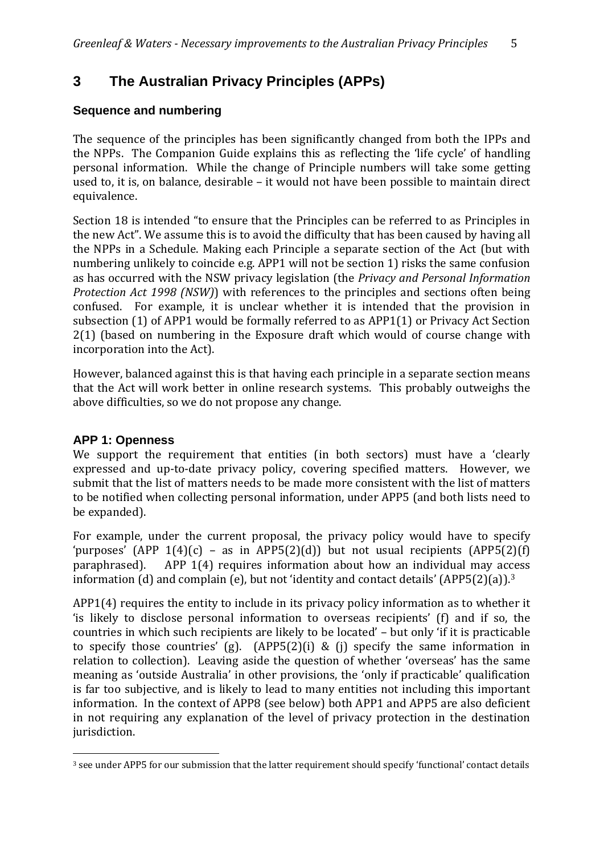# **3 The Australian Privacy Principles (APPs)**

### **Sequence and numbering**

The sequence of the principles has been significantly changed from both the IPPs and the NPPs. The Companion Guide explains this as reflecting the 'life cycle' of handling personal information. While the change of Principle numbers will take some getting used to, it is, on balance, desirable – it would not have been possible to maintain direct equivalence.

Section 18 is intended "to ensure that the Principles can be referred to as Principles in the new Act". We assume this is to avoid the difficulty that has been caused by having all the NPPs in a Schedule. Making each Principle a separate section of the Act (but with numbering unlikely to coincide e.g. APP1 will not be section 1) risks the same confusion as has occurred with the NSW privacy legislation (the *Privacy and Personal Information Protection Act 1998 (NSW)*) with references to the principles and sections often being confused. For example, it is unclear whether it is intended that the provision in subsection (1) of APP1 would be formally referred to as APP1(1) or Privacy Act Section 2(1) (based on numbering in the Exposure draft which would of course change with incorporation into the Act).

However, balanced against this is that having each principle in a separate section means that the Act will work better in online research systems. This probably outweighs the above difficulties, so we do not propose any change.

#### **APP 1: Openness**

We support the requirement that entities (in both sectors) must have a 'clearly expressed and up-to-date privacy policy, covering specified matters. However, we submit that the list of matters needs to be made more consistent with the list of matters to be notified when collecting personal information, under APP5 (and both lists need to be expanded).

For example, under the current proposal, the privacy policy would have to specify 'purposes'  $(APP_1(4)(c) - as in APP5(2)(d))$  but not usual recipients  $(APP5(2)(f)$ paraphrased). APP 1(4) requires information about how an individual may access information (d) and complain (e), but not 'identity and contact details' (APP5(2)(a)).3

jurisdiction. APP1(4) requires the entity to include in its privacy policy information as to whether it 'is likely to disclose personal information to overseas recipients' (f) and if so, the countries in which such recipients are likely to be located' – but only 'if it is practicable to specify those countries' (g).  $(APP5(2)(i) \& (j)$  specify the same information in relation to collection). Leaving aside the question of whether 'overseas' has the same meaning as 'outside Australia' in other provisions, the 'only if practicable' qualification is far too subjective, and is likely to lead to many entities not including this important information. In the context of APP8 (see below) both APP1 and APP5 are also deficient in not requiring any explanation of the level of privacy protection in the destination

<sup>3</sup> see under APP5 for our submission that the latter requirement should specify 'functional' contact details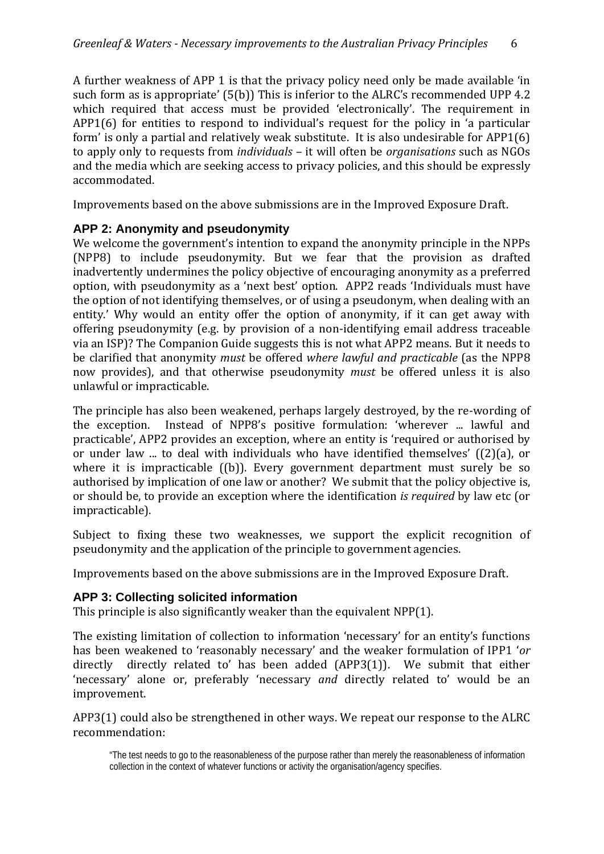A further weakness of APP 1 is that the privacy policy need only be made available 'in such form as is appropriate' (5(b)) This is inferior to the ALRC's recommended UPP 4.2 which required that access must be provided 'electronically'. The requirement in APP1(6) for entities to respond to individual's request for the policy in 'a particular form' is only a partial and relatively weak substitute. It is also undesirable for APP1(6) to apply only to requests from *individuals* – it will often be *organisations* such as NGOs and the media which are seeking access to privacy policies, and this should be expressly accommodated.

Improvements based on the above submissions are in the Improved Exposure Draft.

#### **APP 2: Anonymity and pseudonymity**

We welcome the government's intention to expand the anonymity principle in the NPPs (NPP8) to include pseudonymity. But we fear that the provision as drafted inadvertently undermines the policy objective of encouraging anonymity as a preferred option, with pseudonymity as a 'next best' option. APP2 reads 'Individuals must have the option of not identifying themselves, or of using a pseudonym, when dealing with an entity.' Why would an entity offer the option of anonymity, if it can get away with offering pseudonymity (e.g. by provision of a non‐identifying email address traceable via an ISP)? The Companion Guide suggests this is not what APP2 means. But it needs to be clarified that anonymity *must* be offered *where lawful and practicable* (as the NPP8 now provides), and that otherwise pseudonymity *must* be offered unless it is also unlawful or impracticable.

The principle has also been weakened, perhaps largely destroyed, by the re-wording of the exception. Instead of NPP8's positive formulation: 'wherever ... lawful and practicable', APP2 provides an exception, where an entity is 'required or authorised by or under law ... to deal with individuals who have identified themselves' ((2)(a), or where it is impracticable ((b)). Every government department must surely be so authorised by implication of one law or another? We submit that the policy objective is, or should be, to provide an exception where the identification *is required* by law etc (or impracticable).

Subject to fixing these two weaknesses, we support the explicit recognition of pseudonymity and the application of the principle to government agencies.

Improvements based on the above submissions are in the Improved Exposure Draft.

#### **APP 3: Collecting solicited information**

This principle is also significantly weaker than the equivalent NPP(1).

The existing limitation of collection to information 'necessary' for an entity's functions has been weakened to 'reasonably necessary' and the weaker formulation of IPP1 '*or* directly directly related to' has been added  $(APP3(1))$ . We submit that either 'necessary' alone or, preferably 'necessary *and* directly related to' would be an improvement.

APP3(1) could also be strengthened in other ways. We repeat our response to the ALRC recommendation:

<sup>&</sup>quot;The test needs to go to the reasonableness of the purpose rather than merely the reasonableness of information collection in the context of whatever functions or activity the organisation/agency specifies.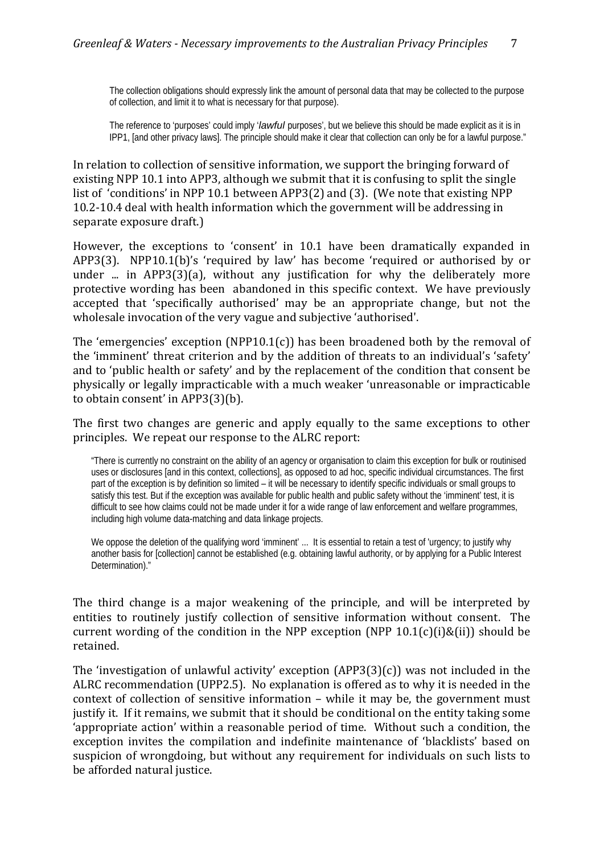The collection obligations should expressly link the amount of personal data that may be collected to the purpose of collection, and limit it to what is necessary for that purpose).

The reference to 'purposes' could imply '*lawful* purposes', but we believe this should be made explicit as it is in IPP1, [and other privacy laws]. The principle should make it clear that collection can only be for a lawful purpose."

In relation to collection of sensitive information, we support the bringing forward of existing NPP 10.1 into APP3, although we submit that it is confusing to split the single list of 'conditions' in NPP 10.1 between APP3(2) and (3). (We note that existing NPP 10.2‐10.4 deal with health information which the government will be addressing in separate exposure draft.)

However, the exceptions to 'consent' in 10.1 have been dramatically expanded in APP3(3). NPP10.1(b)'s 'required by law' has become 'required or authorised by or under ... in APP3(3)(a), without any justification for why the deliberately more protective wording has been abandoned in this specific context. We have previously accepted that 'specifically authorised' may be an appropriate change, but not the wholesale invocation of the very vague and subjective 'authorised'.

The 'emergencies' exception (NPP10.1(c)) has been broadened both by the removal of the 'imminent' threat criterion and by the addition of threats to an individual's 'safety' and to 'public health or safety' and by the replacement of the condition that consent be physically or legally impracticable with a much weaker 'unreasonable or impracticable to obtain consent' in APP3(3)(b).

The first two changes are generic and apply equally to the same exceptions to other principles. We repeat our response to the ALRC report:

"There is currently no constraint on the ability of an agency or organisation to claim this exception for bulk or routinised uses or disclosures [and in this context, collections], as opposed to ad hoc, specific individual circumstances. The first part of the exception is by definition so limited – it will be necessary to identify specific individuals or small groups to satisfy this test. But if the exception was available for public health and public safety without the 'imminent' test, it is difficult to see how claims could not be made under it for a wide range of law enforcement and welfare programmes, including high volume data-matching and data linkage projects.

We oppose the deletion of the qualifying word 'imminent' ... It is essential to retain a test of 'urgency; to justify why another basis for [collection] cannot be established (e.g. obtaining lawful authority, or by applying for a Public Interest Determination)."

The third change is a major weakening of the principle, and will be interpreted by entities to routinely justify collection of sensitive information without consent. The current wording of the condition in the NPP exception (NPP  $10.1(c)(i)$ &(ii)) should be retained.

The 'investigation of unlawful activity' exception  $(APP3(3)(c))$  was not included in the ALRC recommendation (UPP2.5). No explanation is offered as to why it is needed in the context of collection of sensitive information – while it may be, the government must justify it. If it remains, we submit that it should be conditional on the entity taking some 'appropriate action' within a reasonable period of time. Without such a condition, the exception invites the compilation and indefinite maintenance of 'blacklists' based on suspicion of wrongdoing, but without any requirement for individuals on such lists to be afforded natural justice.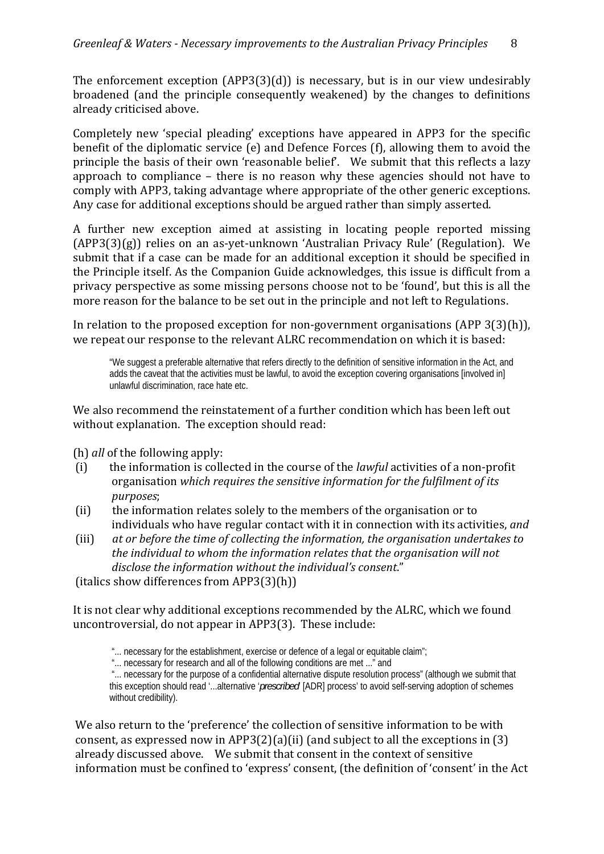The enforcement exception  $(APP3(3)(d))$  is necessary, but is in our view undesirably broadened (and the principle consequently weakened) by the changes to definitions already criticised above.

Completely new 'special pleading' exceptions have appeared in APP3 for the specific benefit of the diplomatic service (e) and Defence Forces (f), allowing them to avoid the principle the basis of their own 'reasonable belief'. We submit that this reflects a lazy approach to compliance – there is no reason why these agencies should not have to comply with APP3, taking advantage where appropriate of the other generic exceptions. Any case for additional exceptions should be argued rather than simply asserted.

A further new exception aimed at assisting in locating people reported missing (APP3(3)(g)) relies on an as‐yet‐unknown 'Australian Privacy Rule' (Regulation). We submit that if a case can be made for an additional exception it should be specified in the Principle itself. As the Companion Guide acknowledges, this issue is difficult from a privacy perspective as some missing persons choose not to be 'found', but this is all the more reason for the balance to be set out in the principle and not left to Regulations.

In relation to the proposed exception for non-government organisations (APP 3(3)(h)), we repeat our response to the relevant ALRC recommendation on which it is based:

"We suggest a preferable alternative that refers directly to the definition of sensitive information in the Act, and adds the caveat that the activities must be lawful, to avoid the exception covering organisations [involved in] unlawful discrimination, race hate etc.

We also recommend the reinstatement of a further condition which has been left out without explanation. The exception should read:

(h) *all* of the following apply:

- (i) the information is collected in the course of the *lawful* activities of a non‐profit organisation *which requires the sensitive information for the fulfilment of its purposes*;
- the information relates solely to the members of the organisation or to individuals who have regular contact with it in connection with its activities, *and* (ii)
- (iii) *at or before the time of collecting the information, the organisation undertakes to n relates that the organisation will not the individual to whom the informatio ndividual's consent*." *disclose the information without the i*

(italics show differences from APP3(3)(h))

It is not clear why additional exceptions recommended by the ALRC, which we found uncontroversial, do not appear in APP3(3). These include:

"... necessary for the establishment, exercise or defence of a legal or equitable claim";

"... necessary for research and all of the following conditions are met ..." and

 "... necessary for the purpose of a confidential alternative dispute resolution process" (although we submit that this exception should read '...alternative '*prescribed*' [ADR] process' to avoid self-serving adoption of schemes without credibility).

We also return to the 'preference' the collection of sensitive information to be with consent, as expressed now in APP3(2)(a)(ii) (and subject to all the exceptions in (3) already discussed above. We submit that consent in the context of sensitive information must be confined to 'express' consent, (the definition of 'consent' in the Act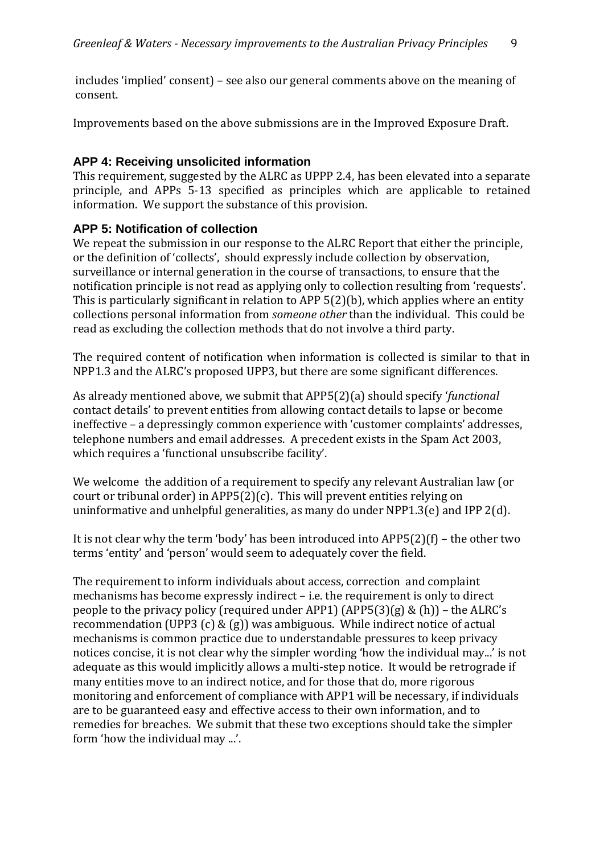includes 'implied' consent) – see also our general comments above on the meaning of consent.

Improvements based on the above submissions are in the Improved Exposure Draft.

#### **APP 4: Receiving unsolicited information**

This requirement, suggested by the ALRC as UPPP 2.4, has been elevated into a separate principle, and APPs 5‐13 specified as principles which are applicable to retained information. We support the substance of this provision.

#### **APP 5: Notification of collection**

We repeat the submission in our response to the ALRC Report that either the principle, or the definition of 'collects', should expressly include collection by observation, surveillance or internal generation in the course of transactions, to ensure that the notification principle is not read as applying only to collection resulting from 'requests'. This is particularly significant in relation to APP 5(2)(b), which applies where an entity collections personal information from *someone other* than the individual. This could be read as excluding the collection methods that do not involve a third party.

The required content of notification when information is collected is similar to that in NPP1.3 and the ALRC's proposed UPP3, but there are some significant differences.

As already mentioned above, we submit that APP5(2)(a) should specify '*functional* contact details' to prevent entities from allowing contact details to lapse or become ineffective – a depressingly common experience with 'customer complaints' addresses, telephone numbers and email addresses. A precedent exists in the Spam Act 2003, which requires a 'functional unsubscribe facility'.

We welcome the addition of a requirement to specify any relevant Australian law (or court or tribunal order) in APP5(2)(c). This will prevent entities relying on uninformative and unhelpful generalities, as many do under NPP1.3(e) and IPP 2(d).

It is not clear why the term 'body' has been introduced into APP5(2)(f) – the other two terms 'entity' and 'person' would seem to adequately cover the field.

The requirement to inform individuals about access, correction and complaint mechanisms has become expressly indirect – i.e. the requirement is only to direct people to the privacy policy (required under APP1) (APP5(3)(g) & (h)) – the ALRC's recommendation (UPP3 (c) & (g)) was ambiguous. While indirect notice of actual mechanisms is common practice due to understandable pressures to keep privacy notices concise, it is not clear why the simpler wording 'how the individual may...' is not adequate as this would implicitly allows a multi‐step notice. It would be retrograde if many entities move to an indirect notice, and for those that do, more rigorous monitoring and enforcement of compliance with APP1 will be necessary, if individuals are to be guaranteed easy and effective access to their own information, and to remedies for breaches. We submit that these two exceptions should take the simpler form 'how the individual may ...'.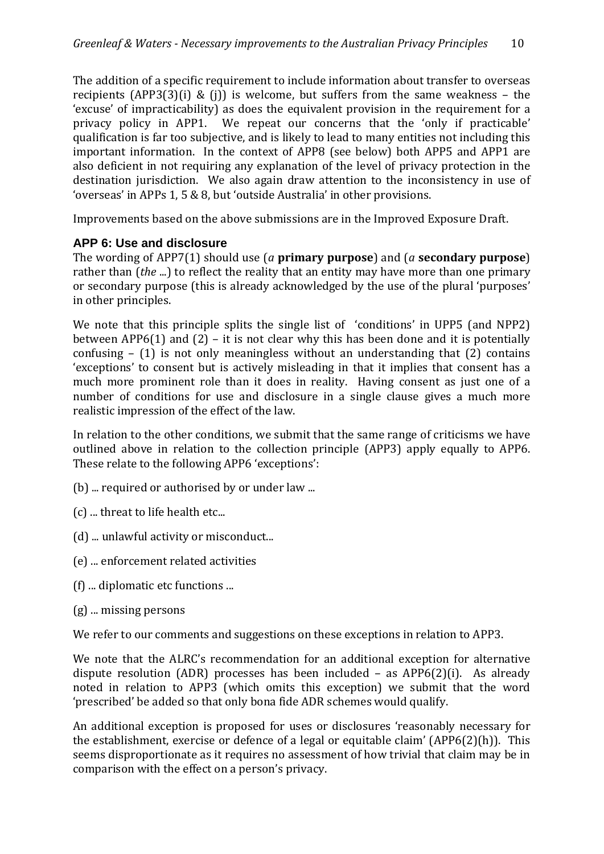The addition of a specific requirement to include information about transfer to overseas recipients  $(APP3(3)(i) \& (i))$  is welcome, but suffers from the same weakness – the 'excuse' of impracticability) as does the equivalent provision in the requirement for a privacy policy in APP1. We repeat our concerns that the 'only if practicable' qualification is far too subjective, and is likely to lead to many entities not including this important information. In the context of APP8 (see below) both APP5 and APP1 are also deficient in not requiring any explanation of the level of privacy protection in the destination jurisdiction. We also again draw attention to the inconsistency in use of 'overseas' in APPs 1, 5 & 8, but 'outside Australia' in other provisions.

Improvements based on the above submissions are in the Improved Exposure Draft.

# **APP 6: Use and disclosure**

The wording of APP7(1) should use (*a* **primary purpose**) and (*a* **secondary purpose**) rather than (*the* ...) to reflect the reality that an entity may have more than one primary or secondary purpose (this is already acknowledged by the use of the plural 'purposes' in other principles.

We note that this principle splits the single list of 'conditions' in UPP5 (and NPP2) between APP6(1) and (2) – it is not clear why this has been done and it is potentially confusing  $-$  (1) is not only meaningless without an understanding that (2) contains 'exceptions' to consent but is actively misleading in that it implies that consent has a much more prominent role than it does in reality. Having consent as just one of a number of conditions for use and disclosure in a single clause gives a much more realistic impression of the effect of the law.

In relation to the other conditions, we submit that the same range of criticisms we have outlined above in relation to the collection principle (APP3) apply equally to APP6. These relate to the following APP6 'exceptions':

- (b) ... required or authorised by or under law ...
- (c) ... threat to life health etc...
- (d) ... unlawful activity or misconduct...
- (e) ... enforcement related activities
- (f) ... diplomatic etc functions ...
- (g) ... missing persons

We refer to our comments and suggestions on these exceptions in relation to APP3.

We note that the ALRC's recommendation for an additional exception for alternative dispute resolution (ADR) processes has been included - as APP6(2)(i). As already noted in relation to APP3 (which omits this exception) we submit that the word 'prescribed' be added so that only bona fide ADR schemes would qualify.

An additional exception is proposed for uses or disclosures 'reasonably necessary for the establishment, exercise or defence of a legal or equitable claim' (APP6(2)(h)). This seems disproportionate as it requires no assessment of how trivial that claim may be in comparison with the effect on a person's privacy.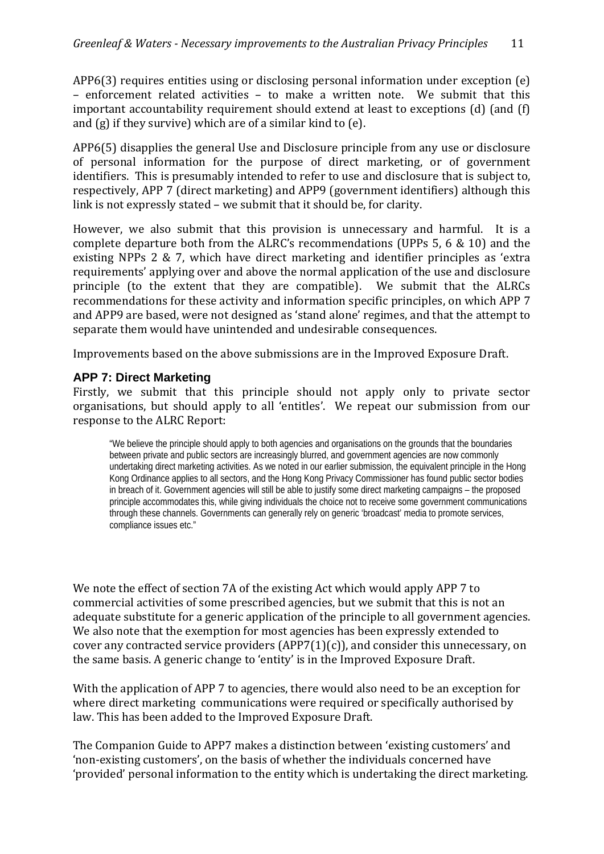APP6(3) requires entities using or disclosing personal information under exception (e) – enforcement related activities – to make a written note. We submit that this important accountability requirement should extend at least to exceptions (d) (and (f) and (g) if they survive) which are of a similar kind to (e).

APP6(5) disapplies the general Use and Disclosure principle from any use or disclosure of personal information for the purpose of direct marketing, or of government identifiers. This is presumably intended to refer to use and disclosure that is subject to, respectively, APP 7 (direct marketing) and APP9 (government identifiers) although this link is not expressly stated – we submit that it should be, for clarity.

However, we also submit that this provision is unnecessary and harmful. It is a complete departure both from the ALRC's recommendations (UPPs 5, 6 & 10) and the existing NPPs 2 & 7, which have direct marketing and identifier principles as 'extra requirements' applying over and above the normal application of the use and disclosure principle (to the extent that they are compatible). We submit that the ALRCs recommendations for these activity and information specific principles, on which APP 7 and APP9 are based, were not designed as 'stand alone' regimes, and that the attempt to separate them would have unintended and undesirable consequences.

Improvements based on the above submissions are in the Improved Exposure Draft.

# **APP 7: Direct Marketing**

Firstly, we submit that this principle should not apply only to private sector organisations, but should apply to all 'entitles'. We repeat our submission from our response to the ALRC Report:

"We believe the principle should apply to both agencies and organisations on the grounds that the boundaries between private and public sectors are increasingly blurred, and government agencies are now commonly undertaking direct marketing activities. As we noted in our earlier submission, the equivalent principle in the Hong Kong Ordinance applies to all sectors, and the Hong Kong Privacy Commissioner has found public sector bodies in breach of it. Government agencies will still be able to justify some direct marketing campaigns – the proposed principle accommodates this, while giving individuals the choice not to receive some government communications through these channels. Governments can generally rely on generic 'broadcast' media to promote services, compliance issues etc."

We note the effect of section 7A of the existing Act which would apply APP 7 to commercial activities of some prescribed agencies, but we submit that this is not an adequate substitute for a generic application of the principle to all government agencies. We also note that the exemption for most agencies has been expressly extended to cover any contracted service providers  $(APP7(1)(c))$ , and consider this unnecessary, on the same basis. A generic change to 'entity' is in the Improved Exposure Draft.

With the application of APP 7 to agencies, there would also need to be an exception for where direct marketing communications were required or specifically authorised by law. This has been added to the Improved Exposure Draft.

The Companion Guide to APP7 makes a distinction between 'existing customers' and 'non‐existing customers', on the basis of whether the individuals concerned have 'provided' personal information to the entity which is undertaking the direct marketing.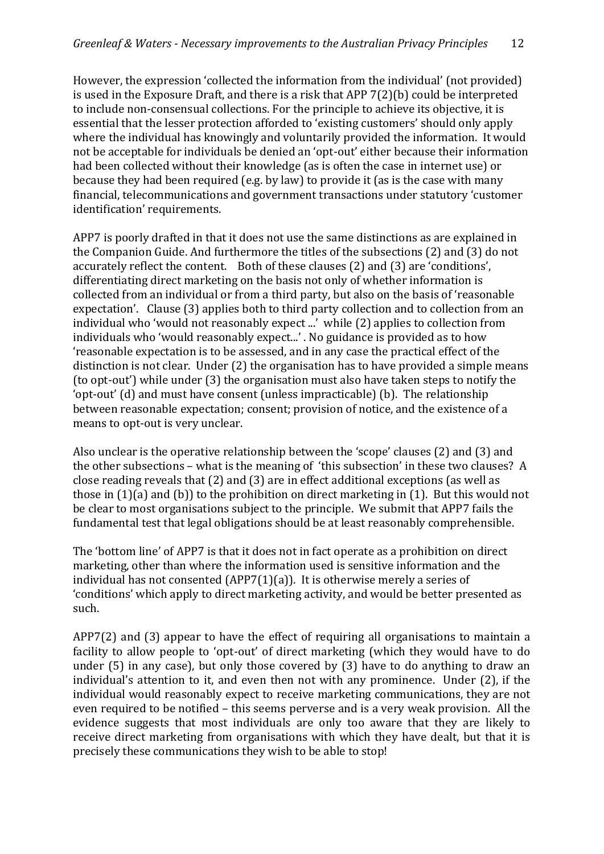However, the expression 'collected the information from the individual' (not provided) is used in the Exposure Draft, and there is a risk that APP 7(2)(b) could be interpreted to include non‐consensual collections. For the principle to achieve its objective, it is essential that the lesser protection afforded to 'existing customers' should only apply where the individual has knowingly and voluntarily provided the information. It would not be acceptable for individuals be denied an 'opt‐out' either because their information had been collected without their knowledge (as is often the case in internet use) or because they had been required (e.g. by law) to provide it (as is the case with many financial, telecommunications and government transactions under statutory 'customer identification' requirements.

APP7 is poorly drafted in that it does not use the same distinctions as are explained in the Companion Guide. And furthermore the titles of the subsections (2) and (3) do not accurately reflect the content. Both of these clauses (2) and (3) are 'conditions', differentiating direct marketing on the basis not only of whether information is collected from an individual or from a third party, but also on the basis of 'reasonable expectation'. Clause (3) applies both to third party collection and to collection from an individual who 'would not reasonably expect ...' while (2) applies to collection from individuals who 'would reasonably expect...' . No guidance is provided as to how 'reasonable expectation is to be assessed, and in any case the practical effect of the distinction is not clear. Under (2) the organisation has to have provided a simple means (to opt‐out') while under (3) the organisation must also have taken steps to notify the 'opt‐out' (d) and must have consent (unless impracticable) (b). The relationship between reasonable expectation; consent; provision of notice, and the existence of a means to opt-out is very unclear.

Also unclear is the operative relationship between the 'scope' clauses (2) and (3) and the other subsections – what is the meaning of 'this subsection' in these two clauses? A close reading reveals that (2) and (3) are in effect additional exceptions (as well as those in (1)(a) and (b)) to the prohibition on direct marketing in (1). But this would not be clear to most organisations subject to the principle. We submit that APP7 fails the fundamental test that legal obligations should be at least reasonably comprehensible.

The 'bottom line' of APP7 is that it does not in fact operate as a prohibition on direct marketing, other than where the information used is sensitive information and the individual has not consented (APP7(1)(a)). It is otherwise merely a series of 'conditions' which apply to direct marketing activity, and would be better presented as such.

APP7(2) and (3) appear to have the effect of requiring all organisations to maintain a facility to allow people to 'opt-out' of direct marketing (which they would have to do under (5) in any case), but only those covered by (3) have to do anything to draw an individual's attention to it, and even then not with any prominence. Under (2), if the individual would reasonably expect to receive marketing communications, they are not even required to be notified – this seems perverse and is a very weak provision. All the evidence suggests that most individuals are only too aware that they are likely to receive direct marketing from organisations with which they have dealt, but that it is precisely these communications they wish to be able to stop!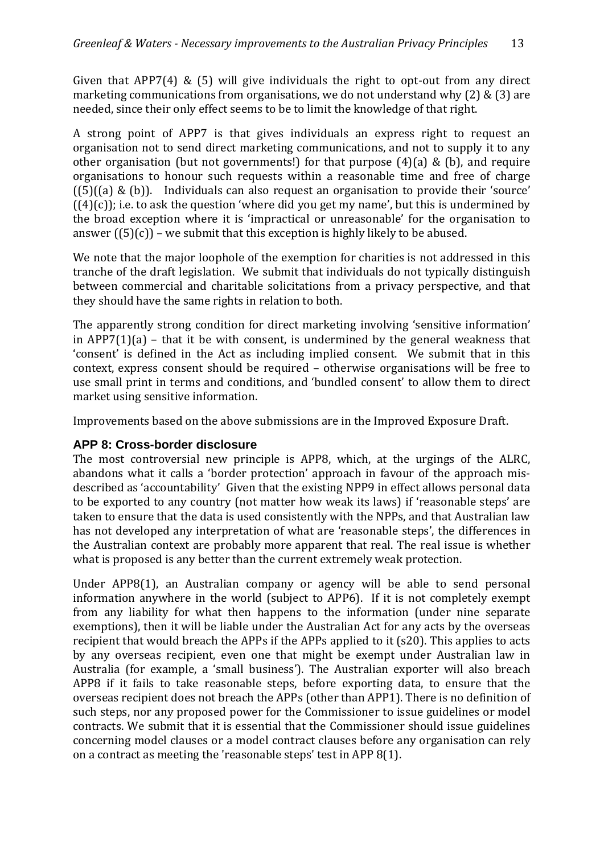Given that  $APP7(4) \& (5)$  will give individuals the right to opt-out from any direct marketing communications from organisations, we do not understand why (2) & (3) are needed, since their only effect seems to be to limit the knowledge of that right.

A strong point of APP7 is that gives individuals an express right to request an organisation not to send direct marketing communications, and not to supply it to any other organisation (but not governments!) for that purpose  $(4)(a)$  &  $(b)$ , and require organisations to honour such requests within a reasonable time and free of charge  $(5)(a)$  & (b)). Individuals can also request an organisation to provide their 'source'  $((4)(c))$ ; i.e. to ask the question 'where did you get my name', but this is undermined by the broad exception where it is 'impractical or unreasonable' for the organisation to answer  $(\binom{5}{c})$  – we submit that this exception is highly likely to be abused.

We note that the major loophole of the exemption for charities is not addressed in this tranche of the draft legislation. We submit that individuals do not typically distinguish between commercial and charitable solicitations from a privacy perspective, and that they should have the same rights in relation to both.

The apparently strong condition for direct marketing involving 'sensitive information' in APP7(1)(a) – that it be with consent, is undermined by the general weakness that 'consent' is defined in the Act as including implied consent. We submit that in this context, express consent should be required - otherwise organisations will be free to use small print in terms and conditions, and 'bundled consent' to allow them to direct market using sensitive information.

Improvements based on the above submissions are in the Improved Exposure Draft.

# **APP 8: Cross-border disclosure**

The most controversial new principle is APP8, which, at the urgings of the ALRC, abandons what it calls a 'border protection' approach in favour of the approach misdescribed as 'accountability' Given that the existing NPP9 in effect allows personal data to be exported to any country (not matter how weak its laws) if 'reasonable steps' are taken to ensure that the data is used consistently with the NPPs, and that Australian law has not developed any interpretation of what are 'reasonable steps', the differences in the Australian context are probably more apparent that real. The real issue is whether what is proposed is any better than the current extremely weak protection.

Under APP8(1), an Australian company or agency will be able to send personal information anywhere in the world (subject to APP6). If it is not completely exempt from any liability for what then happens to the information (under nine separate exemptions), then it will be liable under the Australian Act for any acts by the overseas recipient that would breach the APPs if the APPs applied to it (s20). This applies to acts by any overseas recipient, even one that might be exempt under Australian law in Australia (for example, a 'small business'). The Australian exporter will also breach APP8 if it fails to take reasonable steps, before exporting data, to ensure that the overseas recipient does not breach the APPs (other than APP1). There is no definition of such steps, nor any proposed power for the Commissioner to issue guidelines or model contracts. We submit that it is essential that the Commissioner should issue guidelines concerning model clauses or a model contract clauses before any organisation can rely on a contract as meeting the 'reasonable steps' test in APP 8(1).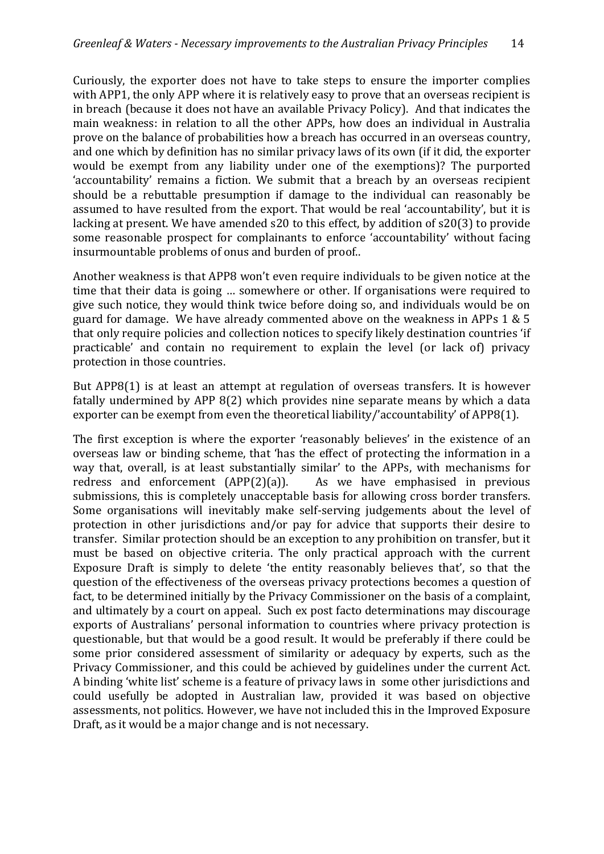Curiously, the exporter does not have to take steps to ensure the importer complies with APP1, the only APP where it is relatively easy to prove that an overseas recipient is in breach (because it does not have an available Privacy Policy). And that indicates the main weakness: in relation to all the other APPs, how does an individual in Australia prove on the balance of probabilities how a breach has occurred in an overseas country, and one which by definition has no similar privacy laws of its own (if it did, the exporter would be exempt from any liability under one of the exemptions)? The purported 'accountability' remains a fiction. We submit that a breach by an overseas recipient should be a rebuttable presumption if damage to the individual can reasonably be assumed to have resulted from the export. That would be real 'accountability', but it is lacking at present. We have amended s20 to this effect, by addition of s20(3) to provide some reasonable prospect for complainants to enforce 'accountability' without facing insurmountable problems of onus and burden of proof..

Another weakness is that APP8 won't even require individuals to be given notice at the time that their data is going … somewhere or other. If organisations were required to give such notice, they would think twice before doing so, and individuals would be on guard for damage. We have already commented above on the weakness in APPs 1 & 5 that only require policies and collection notices to specify likely destination countries 'if practicable' and contain no requirement to explain the level (or lack of) privacy protection in those countries.

But APP8(1) is at least an attempt at regulation of overseas transfers. It is however fatally undermined by APP 8(2) which provides nine separate means by which a data exporter can be exempt from even the theoretical liability/'accountability' of APP8(1).

The first exception is where the exporter 'reasonably believes' in the existence of an overseas law or binding scheme, that 'has the effect of protecting the information in a way that, overall, is at least substantially similar' to the APPs, with mechanisms for redress and enforcement  $(APP(2)(a))$ . As we have emphasised in previous submissions, this is completely unacceptable basis for allowing cross border transfers. Some organisations will inevitably make self-serving judgements about the level of protection in other jurisdictions and/or pay for advice that supports their desire to transfer. Similar protection should be an exception to any prohibition on transfer, but it must be based on objective criteria. The only practical approach with the current Exposure Draft is simply to delete 'the entity reasonably believes that', so that the question of the effectiveness of the overseas privacy protections becomes a question of fact, to be determined initially by the Privacy Commissioner on the basis of a complaint, and ultimately by a court on appeal. Such ex post facto determinations may discourage exports of Australians' personal information to countries where privacy protection is questionable, but that would be a good result. It would be preferably if there could be some prior considered assessment of similarity or adequacy by experts, such as the Privacy Commissioner, and this could be achieved by guidelines under the current Act. A binding 'white list' scheme is a feature of privacy laws in some other jurisdictions and could usefully be adopted in Australian law, provided it was based on objective assessments, not politics. However, we have not included this in the Improved Exposure Draft, as it would be a major change and is not necessary.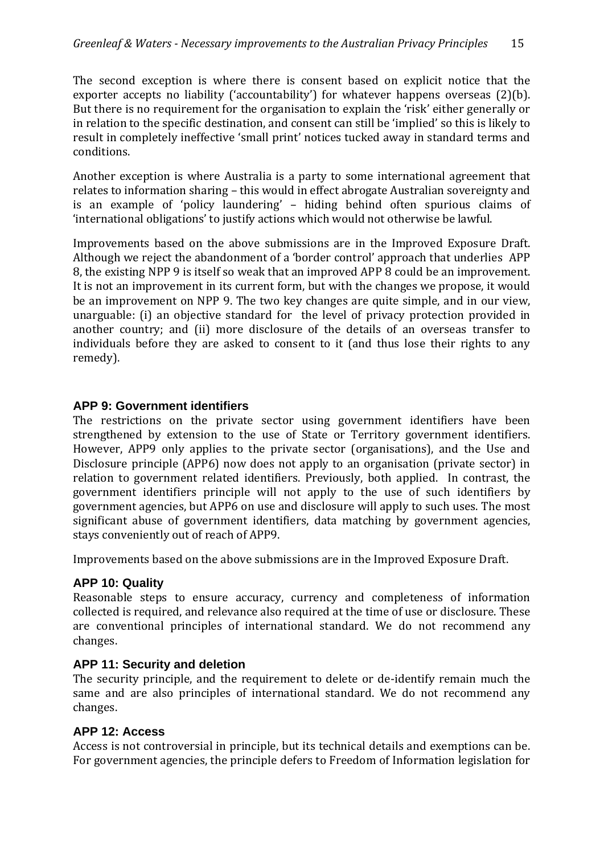The second exception is where there is consent based on explicit notice that the exporter accepts no liability ('accountability') for whatever happens overseas (2)(b). But there is no requirement for the organisation to explain the 'risk' either generally or in relation to the specific destination, and consent can still be 'implied' so this is likely to result in completely ineffective 'small print' notices tucked away in standard terms and conditions.

Another exception is where Australia is a party to some international agreement that relates to information sharing – this would in effect abrogate Australian sovereignty and is an example of 'policy laundering' – hiding behind often spurious claims of 'international obligations' to justify actions which would not otherwise be lawful.

Improvements based on the above submissions are in the Improved Exposure Draft. Although we reject the abandonment of a 'border control' approach that underlies APP 8, the existing NPP 9 is itself so weak that an improved APP 8 could be an improvement. It is not an improvement in its current form, but with the changes we propose, it would be an improvement on NPP 9. The two key changes are quite simple, and in our view, unarguable: (i) an objective standard for the level of privacy protection provided in another country; and (ii) more disclosure of the details of an overseas transfer to individuals before they are asked to consent to it (and thus lose their rights to any remedy).

#### **APP 9: Government identifiers**

The restrictions on the private sector using government identifiers have been strengthened by extension to the use of State or Territory government identifiers. However, APP9 only applies to the private sector (organisations), and the Use and Disclosure principle (APP6) now does not apply to an organisation (private sector) in relation to government related identifiers. Previously, both applied. In contrast, the government identifiers principle will not apply to the use of such identifiers by government agencies, but APP6 on use and disclosure will apply to such uses. The most significant abuse of government identifiers, data matching by government agencies, stays conveniently out of reach of APP9.

Improvements based on the above submissions are in the Improved Exposure Draft.

# **APP 10: Quality**

Reasonable steps to ensure accuracy, currency and completeness of information collected is required, and relevance also required at the time of use or disclosure. These are conventional principles of international standard. We do not recommend any changes.

#### **APP 11: Security and deletion**

The security principle, and the requirement to delete or de-identify remain much the same and are also principles of international standard. We do not recommend any changes.

# **APP 12: Access**

Access is not controversial in principle, but its technical details and exemptions can be. For government agencies, the principle defers to Freedom of Information legislation for